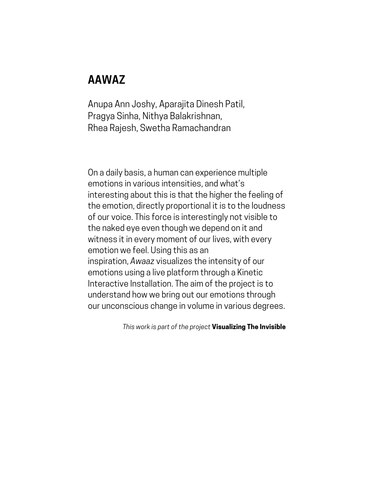## **AAWAZ**

Anupa Ann Joshy, Aparajita Dinesh Patil, Pragya Sinha, Nithya Balakrishnan, Rhea Rajesh, Swetha Ramachandran

On a daily basis, a human can experience multiple emotions in various intensities, and what's interesting about this is that the higher the feeling of the emotion, directly proportional it is to the loudness of our voice. This force is interestingly not visible to the naked eye even though we depend on it and witness it in every moment of our lives, with every emotion we feel. Using this as an inspiration, *Awaaz* visualizes the intensity of our emotions using a live platform through a Kinetic Interactive Installation. The aim of the project is to understand how we bring out our emotions through our unconscious change in volume in various degrees.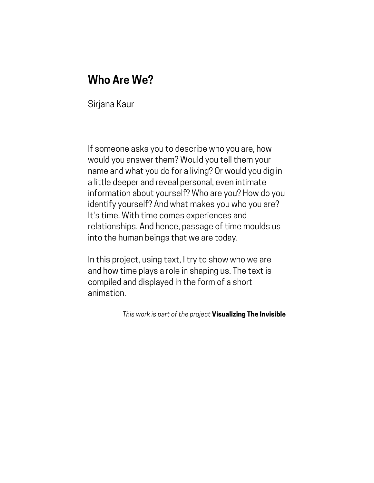## **Who Are We?**

Sirjana Kaur

If someone asks you to describe who you are, how would you answer them? Would you tell them your name and what you do for a living? Or would you dig in a little deeper and reveal personal, even intimate information about yourself? Who are you? How do you identify yourself? And what makes you who you are? It's time. With time comes experiences and relationships. And hence, passage of time moulds us into the human beings that we are today.

In this project, using text, I try to show who we are and how time plays a role in shaping us. The text is compiled and displayed in the form of a short animation.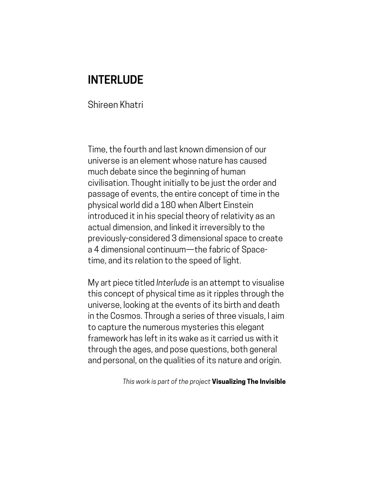# **INTERLUDE**

Shireen Khatri

Time, the fourth and last known dimension of our universe is an element whose nature has caused much debate since the beginning of human civilisation. Thought initially to be just the order and passage of events, the entire concept of time in the physical world did a 180 when Albert Einstein introduced it in his special theory of relativity as an actual dimension, and linked it irreversibly to the previously-considered 3 dimensional space to create a 4 dimensional continuum—the fabric of Spacetime, and its relation to the speed of light.

My art piece titled *Interlude* is an attempt to visualise this concept of physical time as it ripples through the universe, looking at the events of its birth and death in the Cosmos. Through a series of three visuals, I aim to capture the numerous mysteries this elegant framework has left in its wake as it carried us with it through the ages, and pose questions, both general and personal, on the qualities of its nature and origin.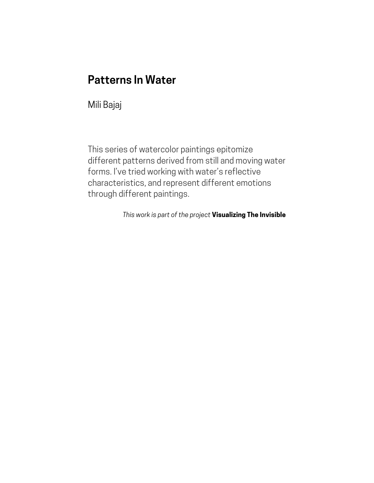## **Patterns In Water**

Mili Bajaj

This series of watercolor paintings epitomize different patterns derived from still and moving water forms. I've tried working with water's reflective characteristics, and represent different emotions through different paintings.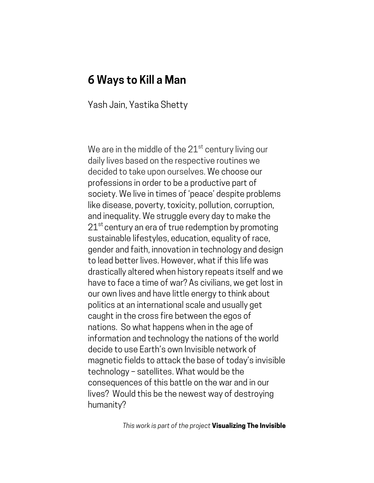#### **6 Ways to Kill a Man**

Yash Jain, Yastika Shetty

We are in the middle of the  $21<sup>st</sup>$  century living our daily lives based on the respective routines we decided to take upon ourselves. We choose our professions in order to be a productive part of society. We live in times of 'peace' despite problems like disease, poverty, toxicity, pollution, corruption, and inequality. We struggle every day to make the  $21<sup>st</sup>$  century an era of true redemption by promoting sustainable lifestyles, education, equality of race, gender and faith, innovation in technology and design to lead better lives. However, what if this life was drastically altered when history repeats itself and we have to face a time of war? As civilians, we get lost in our own lives and have little energy to think about politics at an international scale and usually get caught in the cross fire between the egos of nations. So what happens when in the age of information and technology the nations of the world decide to use Earth's own Invisible network of magnetic fields to attack the base of today's invisible technology – satellites. What would be the consequences of this battle on the war and in our lives? Would this be the newest way of destroying humanity?